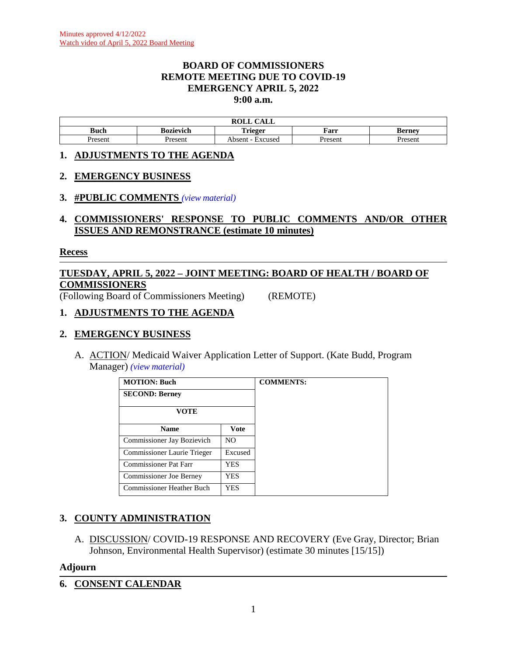### **BOARD OF COMMISSIONERS REMOTE MEETING DUE TO COVID-19 EMERGENCY APRIL 5, 2022 9:00 a.m.**

| ROLL<br>$\sim$ $\sim$ $\sim$ $\sim$<br>САЫЛ |           |                   |         |               |
|---------------------------------------------|-----------|-------------------|---------|---------------|
| Buch                                        | Bozievich | <b>Trieger</b>    | Farr    | <b>Berney</b> |
| Present                                     | Present   | Absent<br>Excused | Present | Present       |

### **1. ADJUSTMENTS TO THE AGENDA**

### **2. EMERGENCY BUSINESS**

### **3. #PUBLIC COMMENTS** *(view [material\)](http://www.lanecountyor.gov/UserFiles/Servers/Server_3585797/File/Government/BCC/2022/2022_AGENDAS/040522agenda/T.3.pdf)*

## **4. COMMISSIONERS' RESPONSE TO PUBLIC COMMENTS AND/OR OTHER ISSUES AND REMONSTRANCE (estimate 10 minutes)**

#### **Recess**

# **TUESDAY, APRIL 5, 2022 – JOINT MEETING: BOARD OF HEALTH / BOARD OF COMMISSIONERS**

(Following Board of Commissioners Meeting) (REMOTE)

### **1. ADJUSTMENTS TO THE AGENDA**

### **2. EMERGENCY BUSINESS**

A. ACTION/ Medicaid Waiver Application Letter of Support. (Kate Budd, Program Manager) *(view [material\)](http://www.lanecountyor.gov/UserFiles/Servers/Server_3585797/File/Government/BCC/2022/2022_AGENDAS/040522agenda/T.2.A.pdf)*

| <b>MOTION: Buch</b>            |             | <b>COMMENTS:</b> |
|--------------------------------|-------------|------------------|
| <b>SECOND: Berney</b>          |             |                  |
| VOTE                           |             |                  |
| <b>Name</b>                    | <b>Vote</b> |                  |
| Commissioner Jay Bozievich     | NO.         |                  |
| Commissioner Laurie Trieger    | Excused     |                  |
| Commissioner Pat Farr          | YES         |                  |
| <b>Commissioner Joe Berney</b> | YES         |                  |
| Commissioner Heather Buch      | YES         |                  |

# **3. COUNTY ADMINISTRATION**

A. DISCUSSION/ COVID-19 RESPONSE AND RECOVERY (Eve Gray, Director; Brian Johnson, Environmental Health Supervisor) (estimate 30 minutes [15/15])

### **Adjourn**

**6. CONSENT CALENDAR**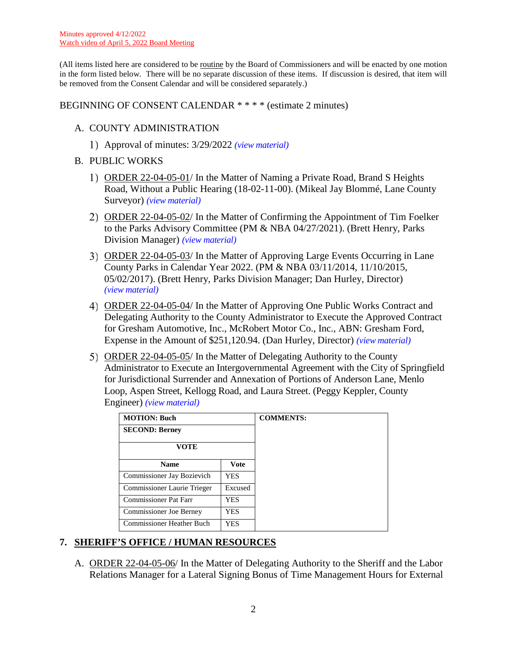(All items listed here are considered to be routine by the Board of Commissioners and will be enacted by one motion in the form listed below. There will be no separate discussion of these items. If discussion is desired, that item will be removed from the Consent Calendar and will be considered separately.)

## BEGINNING OF CONSENT CALENDAR \* \* \* \* (estimate 2 minutes)

## A. COUNTY ADMINISTRATION

Approval of minutes: 3/29/2022 *(view [material\)](http://www.lanecountyor.gov/UserFiles/Servers/Server_3585797/File/Government/BCC/2022/2022_AGENDAS/040522agenda/T.6.A.1.pdf)*

## B. PUBLIC WORKS

- 1) ORDER 22-04-05-01/ In the Matter of Naming a Private Road, Brand S Heights Road, Without a Public Hearing (18-02-11-00). (Mikeal Jay Blommé, Lane County Surveyor) *(view [material\)](http://www.lanecountyor.gov/UserFiles/Servers/Server_3585797/File/Government/BCC/2022/2022_AGENDAS/040522agenda/T.6.B.1.pdf)*
- ORDER 22-04-05-02/ In the Matter of Confirming the Appointment of Tim Foelker to the Parks Advisory Committee (PM & NBA 04/27/2021). (Brett Henry, Parks Division Manager) *(view [material\)](http://www.lanecountyor.gov/UserFiles/Servers/Server_3585797/File/Government/BCC/2022/2022_AGENDAS/040522agenda/T.6.B.2.pdf)*
- ORDER 22-04-05-03/ In the Matter of Approving Large Events Occurring in Lane County Parks in Calendar Year 2022. (PM & NBA 03/11/2014, 11/10/2015, 05/02/2017). (Brett Henry, Parks Division Manager; Dan Hurley, Director) *(view [material\)](http://www.lanecountyor.gov/UserFiles/Servers/Server_3585797/File/Government/BCC/2022/2022_AGENDAS/040522agenda/T.6.B.3.pdf)*
- ORDER 22-04-05-04/ In the Matter of Approving One Public Works Contract and Delegating Authority to the County Administrator to Execute the Approved Contract for Gresham Automotive, Inc., McRobert Motor Co., Inc., ABN: Gresham Ford, Expense in the Amount of \$251,120.94. (Dan Hurley, Director) *(view [material\)](http://www.lanecountyor.gov/UserFiles/Servers/Server_3585797/File/Government/BCC/2022/2022_AGENDAS/040522agenda/T.6.B.4.pdf)*
- ORDER 22-04-05-05/ In the Matter of Delegating Authority to the County Administrator to Execute an Intergovernmental Agreement with the City of Springfield for Jurisdictional Surrender and Annexation of Portions of Anderson Lane, Menlo Loop, Aspen Street, Kellogg Road, and Laura Street. (Peggy Keppler, County Engineer) *(view [material\)](http://www.lanecountyor.gov/UserFiles/Servers/Server_3585797/File/Government/BCC/2022/2022_AGENDAS/040522agenda/T.6.B.5.pdf)*

| <b>MOTION: Buch</b>              |             | <b>COMMENTS:</b> |
|----------------------------------|-------------|------------------|
| <b>SECOND: Berney</b>            |             |                  |
| VOTE                             |             |                  |
| <b>Name</b>                      | <b>Vote</b> |                  |
| Commissioner Jay Bozievich       | <b>YES</b>  |                  |
| Commissioner Laurie Trieger      | Excused     |                  |
| <b>Commissioner Pat Farr</b>     | YES         |                  |
| <b>Commissioner Joe Berney</b>   | YES         |                  |
| <b>Commissioner Heather Buch</b> | YES         |                  |

# **7. SHERIFF'S OFFICE / HUMAN RESOURCES**

A. ORDER 22-04-05-06/ In the Matter of Delegating Authority to the Sheriff and the Labor Relations Manager for a Lateral Signing Bonus of Time Management Hours for External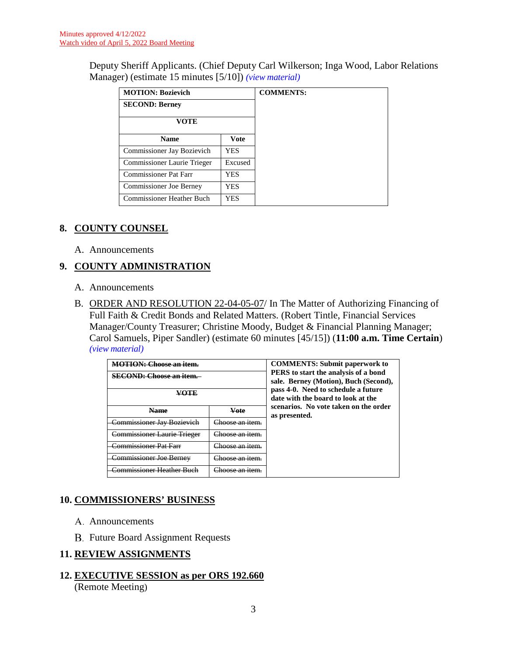Deputy Sheriff Applicants. (Chief Deputy Carl Wilkerson; Inga Wood, Labor Relations Manager) (estimate 15 minutes [5/10]) *(view [material\)](http://www.lanecountyor.gov/UserFiles/Servers/Server_3585797/File/Government/BCC/2022/2022_AGENDAS/040522agenda/T.7.A.pdf)*

| <b>MOTION: Bozievich</b>         |             |  |
|----------------------------------|-------------|--|
| <b>SECOND: Berney</b>            |             |  |
| <b>VOTE</b>                      |             |  |
| <b>Name</b>                      | <b>Vote</b> |  |
| Commissioner Jay Bozievich       | YES         |  |
| Commissioner Laurie Trieger      | Excused     |  |
| <b>Commissioner Pat Farr</b>     | YES         |  |
| <b>Commissioner Joe Berney</b>   | YES         |  |
| <b>Commissioner Heather Buch</b> | YES         |  |

## **8. COUNTY COUNSEL**

A. Announcements

# **9. COUNTY ADMINISTRATION**

- A. Announcements
- B. ORDER AND RESOLUTION 22-04-05-07/ In The Matter of Authorizing Financing of Full Faith & Credit Bonds and Related Matters. (Robert Tintle, Financial Services Manager/County Treasurer; Christine Moody, Budget & Financial Planning Manager; Carol Samuels, Piper Sandler) (estimate 60 minutes [45/15]) (**11:00 a.m. Time Certain**) *(view [material\)](http://www.lanecountyor.gov/UserFiles/Servers/Server_3585797/File/Government/BCC/2022/2022_AGENDAS/040522agenda/T.9.B.pdf)*

| MOTION: Choose on item                |                               | <b>COMMENTS: Submit paperwork to</b>                                          |
|---------------------------------------|-------------------------------|-------------------------------------------------------------------------------|
| SECOND: Choose an item.               |                               | PERS to start the analysis of a bond<br>sale. Berney (Motion), Buch (Second), |
|                                       |                               | pass 4-0. Need to schedule a future<br>date with the board to look at the     |
| مصملا                                 | Vote                          | scenarios. No vote taken on the order<br>as presented.                        |
| <del>Jommissioner Jav Bozievicl</del> | 'hoose an item<br><del></del> |                                                                               |
| <b>Commissioner Laurie Trieger</b>    | 'hoose an item                |                                                                               |
| <del>Commissioner Pat Farr</del>      | <del>.'hoose an item.</del>   |                                                                               |
| <del>emmissioner Joe Bernev'</del>    | aasa on itam                  |                                                                               |
| 'ommissioner Heather                  | hoose an 1                    |                                                                               |

# **10. COMMISSIONERS' BUSINESS**

- A. Announcements
- **B.** Future Board Assignment Requests

## **11. REVIEW ASSIGNMENTS**

**12. EXECUTIVE SESSION as per ORS 192.660** (Remote Meeting)